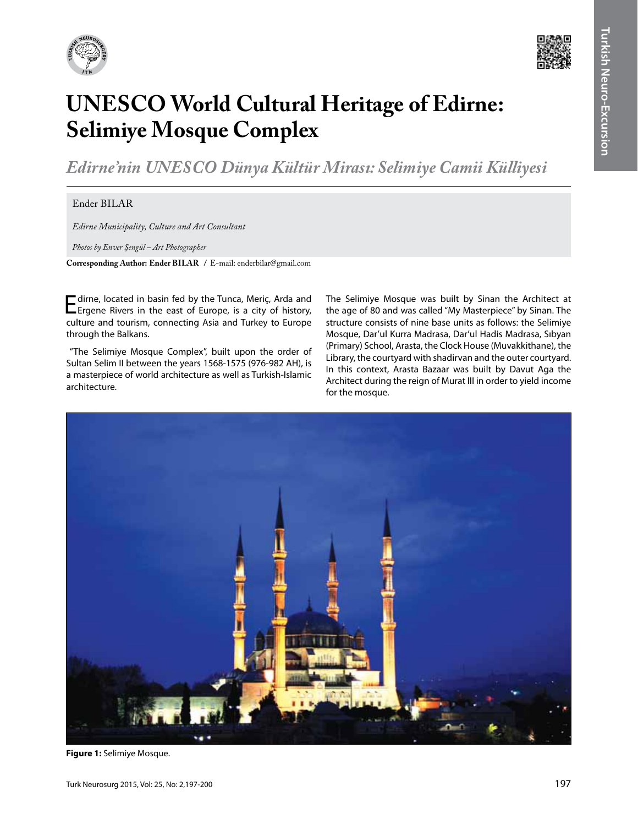



## **UNESCO World Cultural Heritage of Edirne: Selimiye Mosque Complex**

*Edirne'nin Unesco Dünya Kültür Mirası: Selimiye Camii Külliyesi*

## $Ender BILAR$

*Edirne Municipality, Culture and Art Consultant*

*Photos by Enver Şengül – Art Photographer*

**Corresponding Author: Ender BILAR** / E-mail: enderbilar@gmail.com

Edirne, located in basin fed by the Tunca, Meriç, Arda and Ergene Rivers in the east of Europe, is a city of history, culture and tourism, connecting Asia and Turkey to Europe through the Balkans.

 "The Selimiye Mosque Complex", built upon the order of Sultan Selim II between the years 1568-1575 (976-982 AH), is a masterpiece of world architecture as well as Turkish-Islamic architecture.

The Selimiye Mosque was built by Sinan the Architect at the age of 80 and was called "My Masterpiece" by Sinan. The structure consists of nine base units as follows: the Selimiye Mosque, Dar'ul Kurra Madrasa, Dar'ul Hadis Madrasa, Sıbyan (Primary) School, Arasta, the Clock House (Muvakkithane), the Library, the courtyard with shadirvan and the outer courtyard. In this context, Arasta Bazaar was built by Davut Aga the Architect during the reign of Murat III in order to yield income for the mosque.



**Figure 1:** Selimiye Mosque.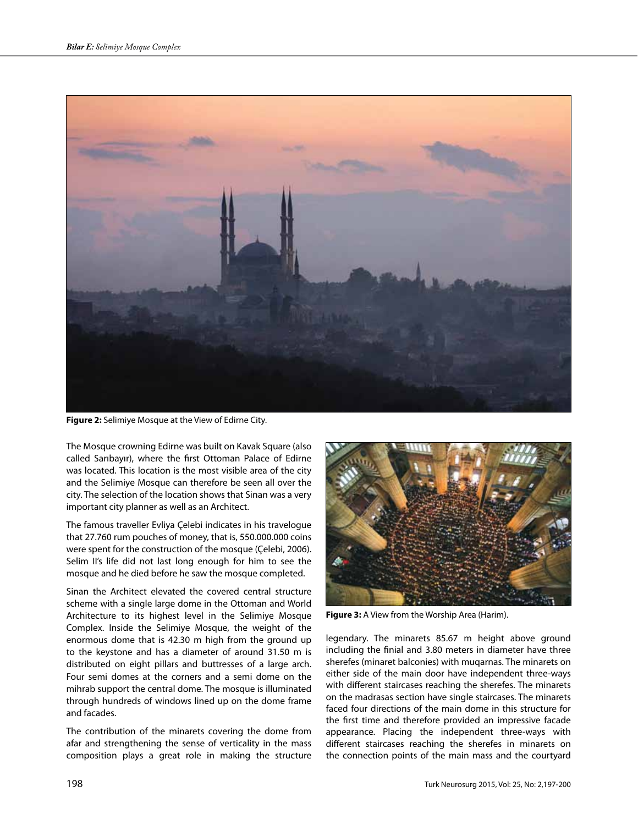

**Figure 2:** Selimiye Mosque at the View of Edirne City.

The Mosque crowning Edirne was built on Kavak Square (also called Sarıbayır), where the first Ottoman Palace of Edirne was located. This location is the most visible area of the city and the Selimiye Mosque can therefore be seen all over the city. The selection of the location shows that Sinan was a very important city planner as well as an Architect.

The famous traveller Evliya Çelebi indicates in his travelogue that 27.760 rum pouches of money, that is, 550.000.000 coins were spent for the construction of the mosque (Çelebi, 2006). Selim II's life did not last long enough for him to see the mosque and he died before he saw the mosque completed.

Sinan the Architect elevated the covered central structure scheme with a single large dome in the Ottoman and World Architecture to its highest level in the Selimiye Mosque Complex. Inside the Selimiye Mosque, the weight of the enormous dome that is 42.30 m high from the ground up to the keystone and has a diameter of around 31.50 m is distributed on eight pillars and buttresses of a large arch. Four semi domes at the corners and a semi dome on the mihrab support the central dome. The mosque is illuminated through hundreds of windows lined up on the dome frame and facades.

The contribution of the minarets covering the dome from afar and strengthening the sense of verticality in the mass composition plays a great role in making the structure



**Figure 3:** A View from the Worship Area (Harim).

legendary. The minarets 85.67 m height above ground including the finial and 3.80 meters in diameter have three sherefes (minaret balconies) with muqarnas. The minarets on either side of the main door have independent three-ways with different staircases reaching the sherefes. The minarets on the madrasas section have single staircases. The minarets faced four directions of the main dome in this structure for the first time and therefore provided an impressive facade appearance. Placing the independent three-ways with different staircases reaching the sherefes in minarets on the connection points of the main mass and the courtyard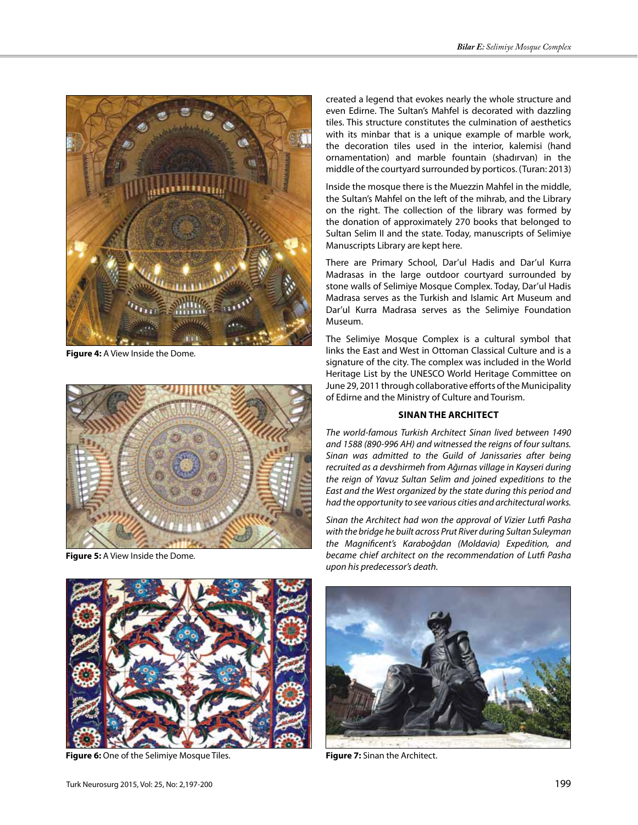

**Figure 4:** A View Inside the Dome.



**Figure 5:** A View Inside the Dome.



**Figure 6:** One of the Selimiye Mosque Tiles.

created a legend that evokes nearly the whole structure and even Edirne. The Sultan's Mahfel is decorated with dazzling tiles. This structure constitutes the culmination of aesthetics with its minbar that is a unique example of marble work, the decoration tiles used in the interior, kalemisi (hand ornamentation) and marble fountain (shadırvan) in the middle of the courtyard surrounded by porticos. (Turan: 2013)

Inside the mosque there is the Muezzin Mahfel in the middle, the Sultan's Mahfel on the left of the mihrab, and the Library on the right. The collection of the library was formed by the donation of approximately 270 books that belonged to Sultan Selim II and the state. Today, manuscripts of Selimiye Manuscripts Library are kept here.

There are Primary School, Dar'ul Hadis and Dar'ul Kurra Madrasas in the large outdoor courtyard surrounded by stone walls of Selimiye Mosque Complex. Today, Dar'ul Hadis Madrasa serves as the Turkish and Islamic Art Museum and Dar'ul Kurra Madrasa serves as the Selimiye Foundation Museum.

The Selimiye Mosque Complex is a cultural symbol that links the East and West in Ottoman Classical Culture and is a signature of the city. The complex was included in the World Heritage List by the UNESCO World Heritage Committee on June 29, 2011 through collaborative efforts of the Municipality of Edirne and the Ministry of Culture and Tourism.

## **SINAN THE ARCHITECT**

*The world-famous Turkish Architect Sinan lived between 1490 and 1588 (890-996 AH) and witnessed the reigns of four sultans. Sinan was admitted to the Guild of Janissaries after being recruited as a devshirmeh from Ağırnas village in Kayseri during the reign of Yavuz Sultan Selim and joined expeditions to the East and the West organized by the state during this period and had the opportunity to see various cities and architectural works.*

*Sinan the Architect had won the approval of Vizier Lutfi Pasha with the bridge he built across Prut River during Sultan Suleyman the Magnificent's Karaboğdan (Moldavia) Expedition, and became chief architect on the recommendation of Lutfi Pasha upon his predecessor's death.*



**Figure 7:** Sinan the Architect.